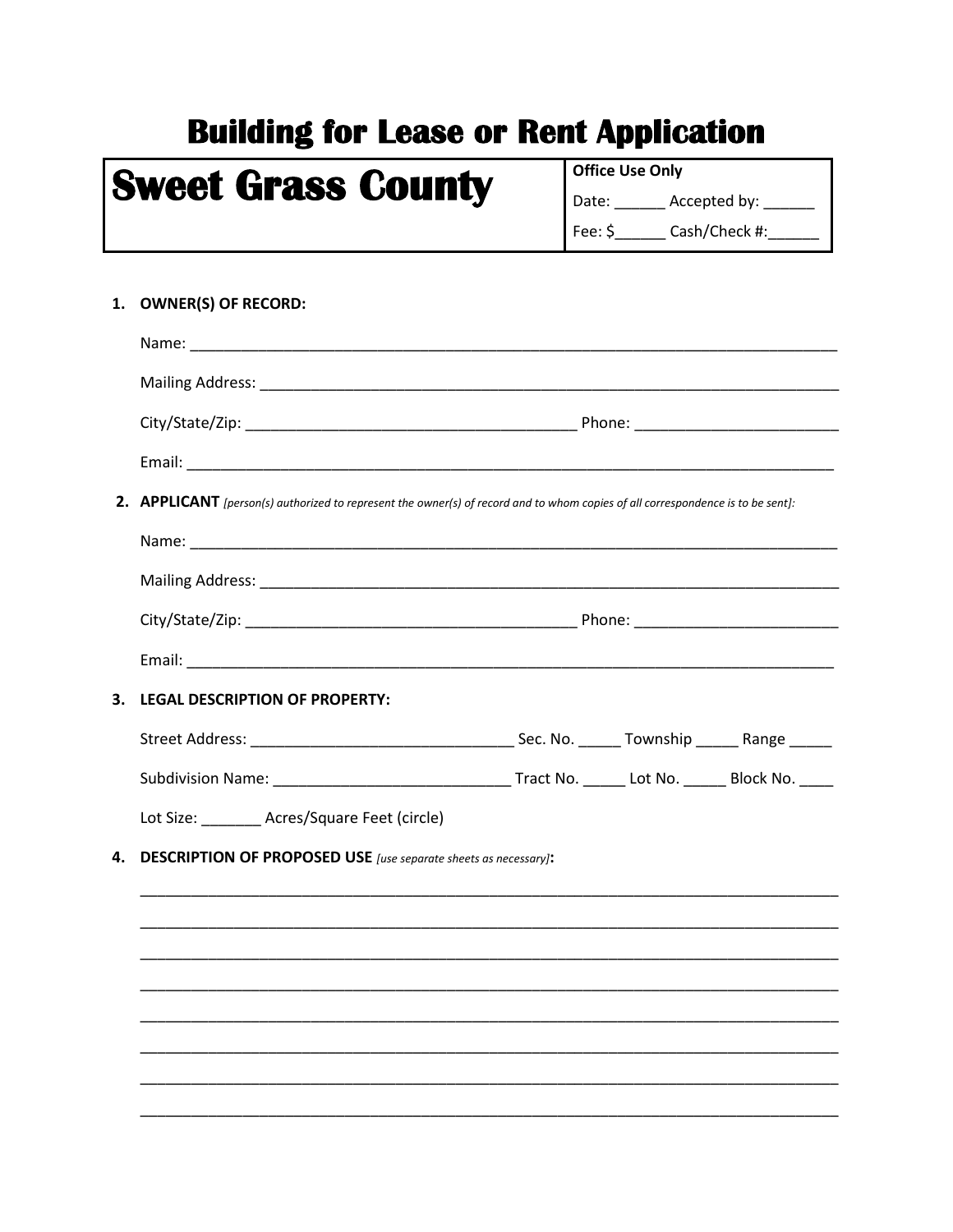## **Building for Lease or Rent Application**

## **Sweet Grass County**

**Office Use Only** Date: \_\_\_\_\_\_\_ Accepted by: \_\_\_\_\_\_ Fee: \$\_\_\_\_\_\_\_\_\_ Cash/Check #:\_\_\_\_

| 1. | <b>OWNER(S) OF RECORD:</b>                                                                                                      |  |  |  |  |  |
|----|---------------------------------------------------------------------------------------------------------------------------------|--|--|--|--|--|
|    |                                                                                                                                 |  |  |  |  |  |
|    |                                                                                                                                 |  |  |  |  |  |
|    |                                                                                                                                 |  |  |  |  |  |
|    |                                                                                                                                 |  |  |  |  |  |
|    | 2. APPLICANT [person(s) authorized to represent the owner(s) of record and to whom copies of all correspondence is to be sent]: |  |  |  |  |  |
|    |                                                                                                                                 |  |  |  |  |  |
|    |                                                                                                                                 |  |  |  |  |  |
|    |                                                                                                                                 |  |  |  |  |  |
|    |                                                                                                                                 |  |  |  |  |  |
|    | 3. LEGAL DESCRIPTION OF PROPERTY:                                                                                               |  |  |  |  |  |
|    |                                                                                                                                 |  |  |  |  |  |
|    |                                                                                                                                 |  |  |  |  |  |
|    | Lot Size: _______ Acres/Square Feet (circle)                                                                                    |  |  |  |  |  |
| 4. | <b>DESCRIPTION OF PROPOSED USE</b> [use separate sheets as necessary]:                                                          |  |  |  |  |  |
|    |                                                                                                                                 |  |  |  |  |  |
|    |                                                                                                                                 |  |  |  |  |  |
|    |                                                                                                                                 |  |  |  |  |  |
|    |                                                                                                                                 |  |  |  |  |  |
|    |                                                                                                                                 |  |  |  |  |  |
|    |                                                                                                                                 |  |  |  |  |  |
|    |                                                                                                                                 |  |  |  |  |  |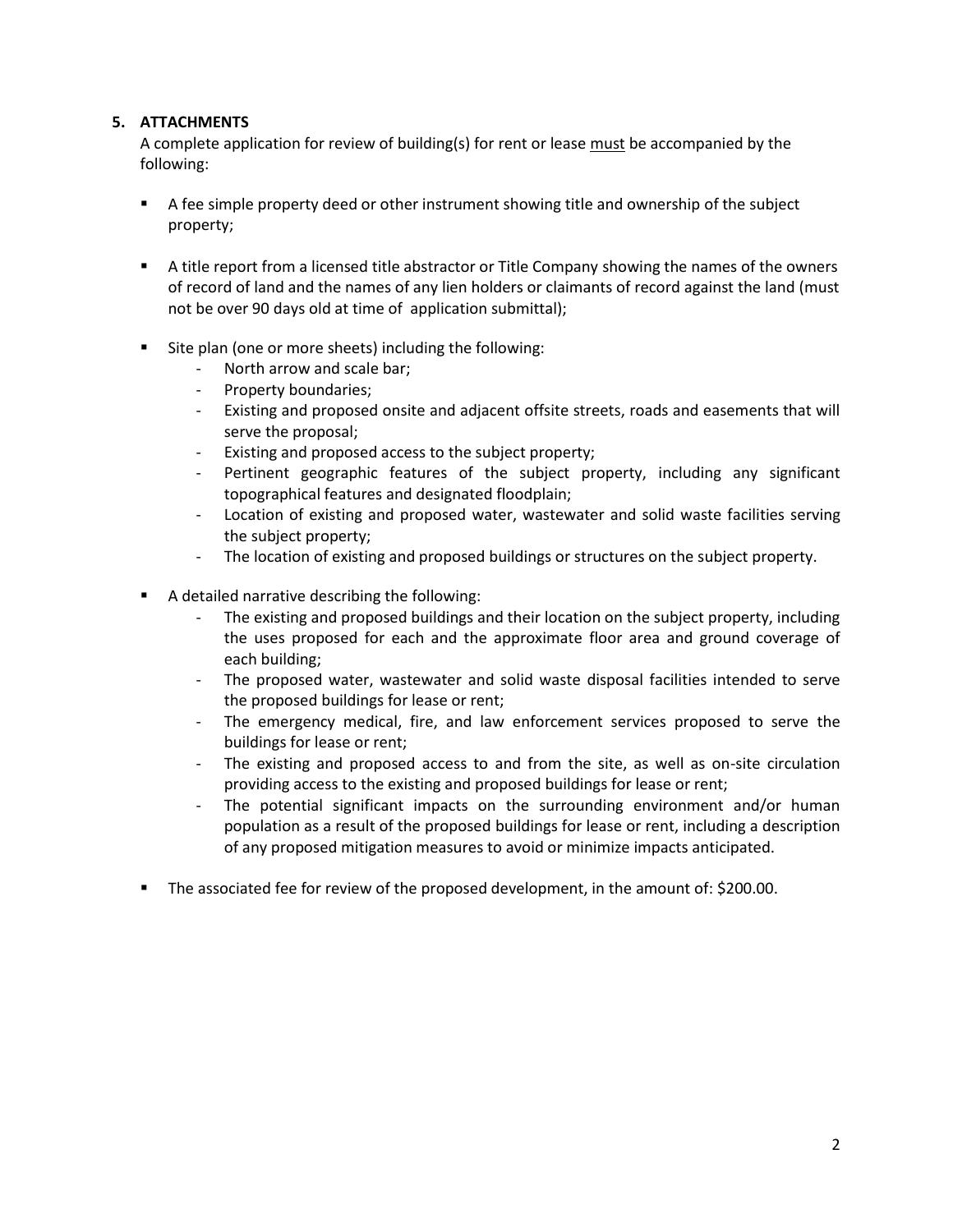## **5. ATTACHMENTS**

A complete application for review of building(s) for rent or lease must be accompanied by the following:

- A fee simple property deed or other instrument showing title and ownership of the subject property;
- A title report from a licensed title abstractor or Title Company showing the names of the owners of record of land and the names of any lien holders or claimants of record against the land (must not be over 90 days old at time of application submittal);
- Site plan (one or more sheets) including the following:
	- North arrow and scale bar;
	- Property boundaries;
	- Existing and proposed onsite and adjacent offsite streets, roads and easements that will serve the proposal;
	- Existing and proposed access to the subject property;
	- Pertinent geographic features of the subject property, including any significant topographical features and designated floodplain;
	- Location of existing and proposed water, wastewater and solid waste facilities serving the subject property;
	- The location of existing and proposed buildings or structures on the subject property.
- A detailed narrative describing the following:
	- The existing and proposed buildings and their location on the subject property, including the uses proposed for each and the approximate floor area and ground coverage of each building;
	- The proposed water, wastewater and solid waste disposal facilities intended to serve the proposed buildings for lease or rent;
	- The emergency medical, fire, and law enforcement services proposed to serve the buildings for lease or rent;
	- The existing and proposed access to and from the site, as well as on-site circulation providing access to the existing and proposed buildings for lease or rent;
	- The potential significant impacts on the surrounding environment and/or human population as a result of the proposed buildings for lease or rent, including a description of any proposed mitigation measures to avoid or minimize impacts anticipated.
- The associated fee for review of the proposed development, in the amount of: \$200.00.